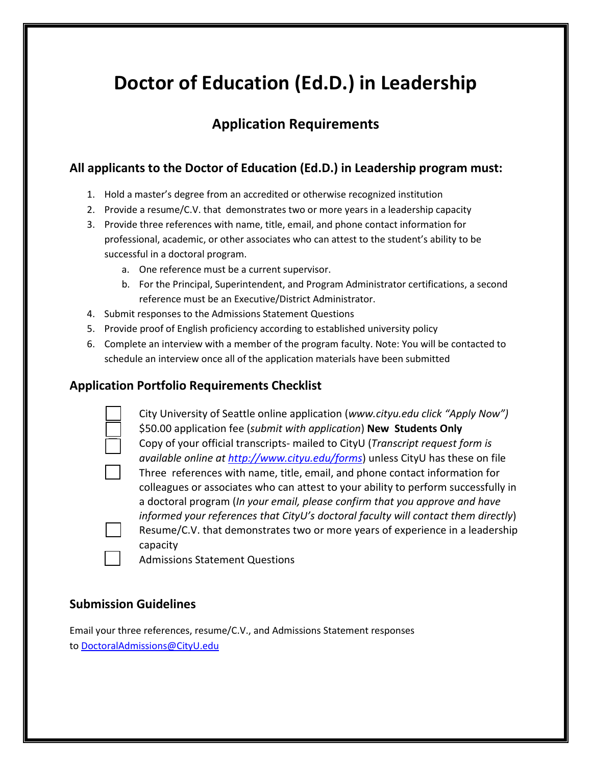# **Doctor of Education (Ed.D.) in Leadership**

# **Application Requirements**

## **All applicants to the Doctor of Education (Ed.D.) in Leadership program must:**

- 1. Hold a master's degree from an accredited or otherwise recognized institution
- 2. Provide a resume/C.V. that demonstrates two or more years in a leadership capacity
- 3. Provide three references with name, title, email, and phone contact information for professional, academic, or other associates who can attest to the student's ability to be successful in a doctoral program.
	- a. One reference must be a current supervisor.
	- b. For the Principal, Superintendent, and Program Administrator certifications, a second reference must be an Executive/District Administrator.
- 4. Submit responses to the Admissions Statement Questions
- 5. Provide proof of English proficiency according to established university policy
- 6. Complete an interview with a member of the program faculty. Note: You will be contacted to schedule an interview once all of the application materials have been submitted

## **Application Portfolio Requirements Checklist**

| City University of Seattle online application (www.cityu.edu click "Apply Now")    |
|------------------------------------------------------------------------------------|
| \$50.00 application fee (submit with application) New Students Only                |
| Copy of your official transcripts- mailed to CityU (Transcript request form is     |
| available online at http://www.cityu.edu/forms) unless CityU has these on file     |
| Three references with name, title, email, and phone contact information for        |
| colleagues or associates who can attest to your ability to perform successfully in |
| a doctoral program (In your email, please confirm that you approve and have        |
| informed your references that CityU's doctoral faculty will contact them directly) |
| Resume/C.V. that demonstrates two or more years of experience in a leadership      |
| capacity                                                                           |
| <b>Admissions Statement Questions</b>                                              |

## **Submission Guidelines**

Email your three references, resume/C.V., and Admissions Statement responses to [DoctoralAdmissions@CityU.edu](mailto:DoctoralAdmissions@CityU.edu)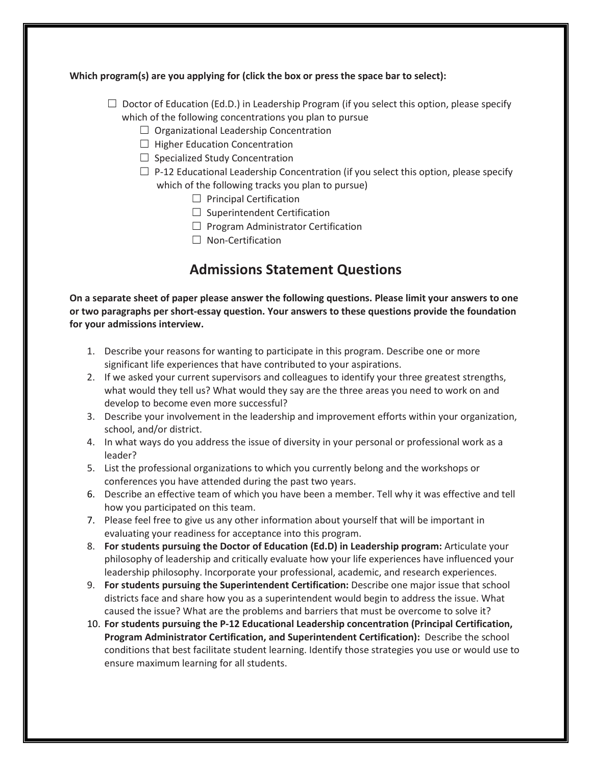#### **Which program(s) are you applying for (click the box or press the space bar to select):**

- $\Box$  Doctor of Education (Ed.D.) in Leadership Program (if you select this option, please specify which of the following concentrations you plan to pursue
	- $\Box$  Organizational Leadership Concentration
	- $\Box$  Higher Education Concentration
	- $\Box$  Specialized Study Concentration
	- $\square$  P-12 Educational Leadership Concentration (if you select this option, please specify which of the following tracks you plan to pursue)
		- $\Box$  Principal Certification
		- $\Box$  Superintendent Certification
		- $\Box$  Program Administrator Certification
		- ☐ Non-Certification

## **Admissions Statement Questions**

**On a separate sheet of paper please answer the following questions. Please limit your answers to one or two paragraphs per short-essay question. Your answers to these questions provide the foundation for your admissions interview.**

- 1. Describe your reasons for wanting to participate in this program. Describe one or more significant life experiences that have contributed to your aspirations.
- 2. If we asked your current supervisors and colleagues to identify your three greatest strengths, what would they tell us? What would they say are the three areas you need to work on and develop to become even more successful?
- 3. Describe your involvement in the leadership and improvement efforts within your organization, school, and/or district.
- 4. In what ways do you address the issue of diversity in your personal or professional work as a leader?
- 5. List the professional organizations to which you currently belong and the workshops or conferences you have attended during the past two years.
- 6. Describe an effective team of which you have been a member. Tell why it was effective and tell how you participated on this team.
- 7. Please feel free to give us any other information about yourself that will be important in evaluating your readiness for acceptance into this program.
- 8. **For students pursuing the Doctor of Education (Ed.D) in Leadership program:** Articulate your philosophy of leadership and critically evaluate how your life experiences have influenced your leadership philosophy. Incorporate your professional, academic, and research experiences.
- 9. **For students pursuing the Superintendent Certification:** Describe one major issue that school districts face and share how you as a superintendent would begin to address the issue. What caused the issue? What are the problems and barriers that must be overcome to solve it?
- 10. **For students pursuing the P-12 Educational Leadership concentration (Principal Certification, Program Administrator Certification, and Superintendent Certification):** Describe the school conditions that best facilitate student learning. Identify those strategies you use or would use to ensure maximum learning for all students.